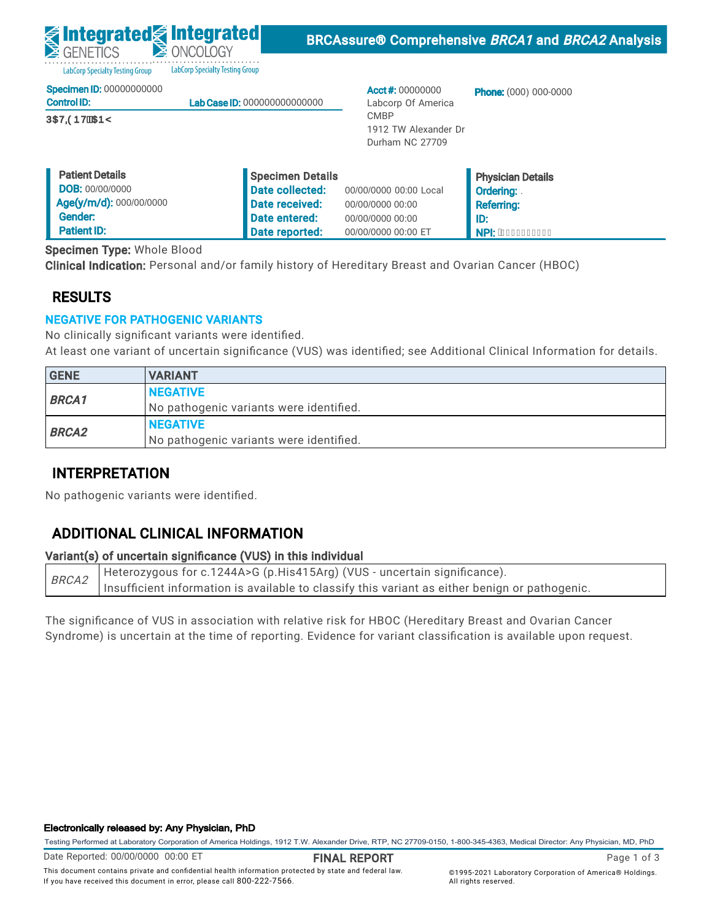LabCorp Specialty Testing Group LabCorp Specialty Testing Group

|  | Specimen ID: 00000000000 |
|--|--------------------------|
|  |                          |

| <b>Control ID:</b>   | <b>Lab Case ID: 000000000000000</b> |
|----------------------|-------------------------------------|
| <b>ÚŒVODDVĚKTEDŸ</b> |                                     |

Acct #: 00000000 Labcorp Of America CMBP 1912 TW Alexander Dr Durham NC 27709

Phone: (000) 000-0000

| <b>Patient Details</b>  | Specimen Details |                        | <b>Physician Details</b>      |
|-------------------------|------------------|------------------------|-------------------------------|
| <b>DOB: 00/00/0000</b>  | Date collected:  | 00/00/0000 00:00 Local | l Ordering: .                 |
| Age(y/m/d): 000/00/0000 | Date received:   | 00/00/0000 00:00       | <b>Referring:</b>             |
| Gender:                 | Date entered:    | 00/00/0000 00:00       | ID:                           |
| <b>Patient ID:</b>      | Date reported:   | 00/00/0000 00:00 ET    | . NPI: A <del>ecceccccc</del> |

Specimen Type: Whole Blood

Clinical Indication: Personal and/or family history of Hereditary Breast and Ovarian Cancer (HBOC)

## RESULTS

## NEGATIVE FOR PATHOGENIC VARIANTS

No clinically significant variants were identified.

At least one variant of uncertain significance (VUS) was identified; see Additional Clinical Information for details.

| <b>GENE</b>  | <b>VARIANT</b>                          |
|--------------|-----------------------------------------|
| <b>BRCA1</b> | <b>INEGATIVE</b>                        |
|              | No pathogenic variants were identified. |
|              | <b>INEGATIVE</b>                        |
| <b>BRCA2</b> | No pathogenic variants were identified. |

## INTERPRETATION

No pathogenic variants were identified.

# ADDITIONAL CLINICAL INFORMATION

## Variant(s) of uncertain significance (VUS) in this individual

BRCA2 Heterozygous for c.1244A>G (p.His415Arg) (VUS - uncertain significance). Insufficient information is available to classify this variant as either benign or pathogenic.

The significance of VUS in association with relative risk for HBOC (Hereditary Breast and Ovarian Cancer Syndrome) is uncertain at the time of reporting. Evidence for variant classification is available upon request.

### Electronically released by: Any Physician, PhD

Testing Performed at Laboratory Corporation of America Holdings, 1912 T.W. Alexander Drive, RTP, NC 27709-0150, 1-800-345-4363, Medical Director: Any Physician, MD, PhD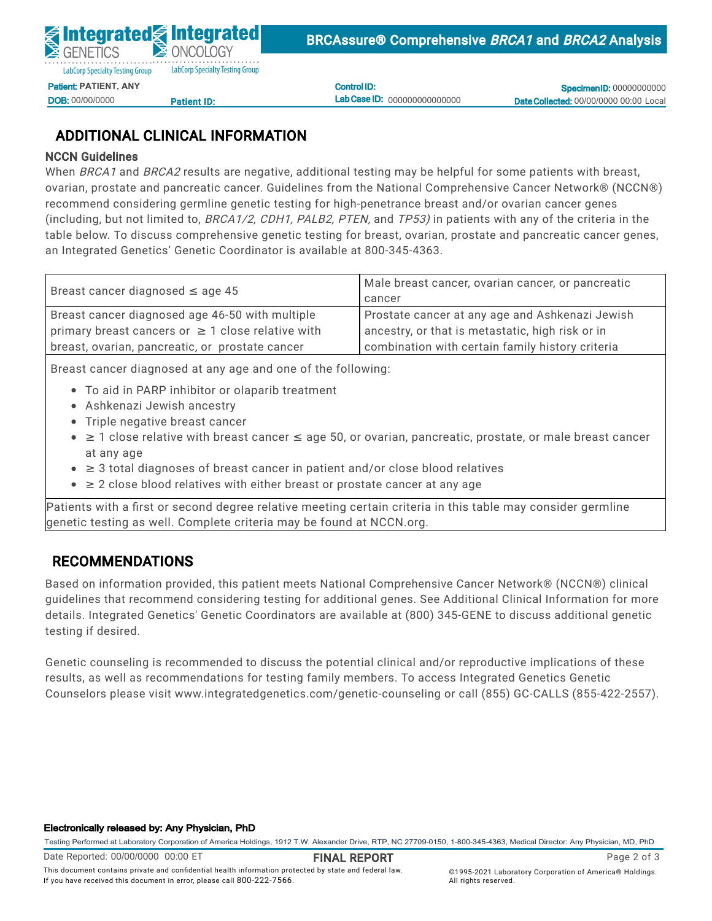Control ID: Lab Case ID: 000000000000000

**Specimen ID: 00000000000** Date Collected: 00/00/0000 00:00 Local

# ADDITIONAL CLINICAL INFORMATION

## NCCN Guidelines

When *BRCA1* and *BRCA2* results are negative, additional testing may be helpful for some patients with breast, ovarian, prostate and pancreatic cancer. Guidelines from the National Comprehensive Cancer Network® (NCCN®) recommend considering germline genetic testing for high-penetrance breast and/or ovarian cancer genes (including, but not limited to, BRCA1/2, CDH1, PALB2, PTEN, and TP53) in patients with any of the criteria in the table below. To discuss comprehensive genetic testing for breast, ovarian, prostate and pancreatic cancer genes, an Integrated Genetics' Genetic Coordinator is available at 800-345-4363.

| Male breast cancer, ovarian cancer, or pancreatic |  |
|---------------------------------------------------|--|
| cancer                                            |  |
| Prostate cancer at any age and Ashkenazi Jewish   |  |
| ancestry, or that is metastatic, high risk or in  |  |
| combination with certain family history criteria  |  |
|                                                   |  |

Breast cancer diagnosed at any age and one of the following:

- To aid in PARP inhibitor or olaparib treatment
- $\bullet$  Ashkenazi Jewish ancestry
	- Triple negative breast cancer
- ≥ 1 close relative with breast cancer ≤ age 50, or ovarian, pancreatic, prostate, or male breast cancer at any age
- $\bullet$   $\geq$  3 total diagnoses of breast cancer in patient and/or close blood relatives
	- ≥ 2 close blood relatives with either breast or prostate cancer at any age

No pathogenic variants were identified.  $\overline{\phantom{a}}$ Patients with a first or second degree relative meeting certain criteria in this table may consider germline genetic testing as well. Complete criteria may be found at NCCN.org.

# RECOMMENDATIONS in this individual significance (VUS) in this individual in the individual significance (VUS) in the individual significance (VUS) in the individual significance (VUS) in this individual significance (VUS)

ased on information provided, this patient meets National Comprehensive Cancer Ne Based on information provided, this patient meets National Comprehensive Cancer Network® (NCCN®) clinical details. Integrated Genetics' Genetic Coordinators are available at (800) 345-GENE to discuss additional genetic<br>.  $s_{\text{SUSY}}$  is uncertainty of  $r_{\text{SUSY}}$ guidelines that recommend considering testing for additional genes. See Additional Clinical Information for more testing if desired.

Genetic counseling is recommended to discuss the potential clinical and/or reproductive implications of these results, as well as recommendations for testing family members. To access Integrated Genetics Genetic Counselors please visit www.integratedgenetics.com/genetic-counseling or call (855) GC-CALLS (855-422-2557).

#### Electronically released by: Any Physician, PhD

Testing Performed at Laboratory Corporation of America Holdings, 1912 T.W. Alexander Drive, RTP, NC 27709-0150, 1-800-345-4363, Medical Director: Any Physician, MD, PhD